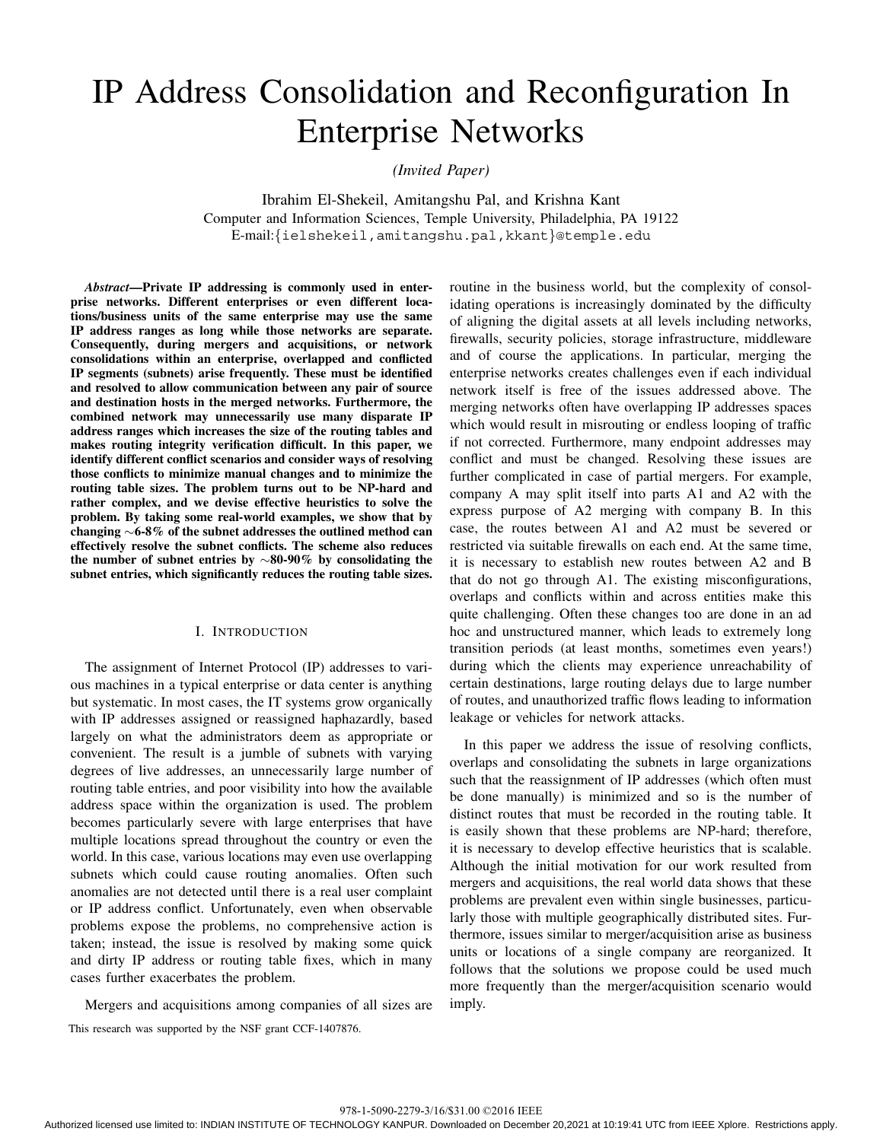# IP Address Consolidation and Reconfiguration In Enterprise Networks

*(Invited Paper)*

Ibrahim El-Shekeil, Amitangshu Pal, and Krishna Kant Computer and Information Sciences, Temple University, Philadelphia, PA 19122 E-mail:{ielshekeil,amitangshu.pal,kkant}@temple.edu

*Abstract***—Private IP addressing is commonly used in enterprise networks. Different enterprises or even different locations/business units of the same enterprise may use the same IP address ranges as long while those networks are separate. Consequently, during mergers and acquisitions, or network consolidations within an enterprise, overlapped and conflicted IP segments (subnets) arise frequently. These must be identified and resolved to allow communication between any pair of source and destination hosts in the merged networks. Furthermore, the combined network may unnecessarily use many disparate IP address ranges which increases the size of the routing tables and makes routing integrity verification difficult. In this paper, we identify different conflict scenarios and consider ways of resolving those conflicts to minimize manual changes and to minimize the routing table sizes. The problem turns out to be NP-hard and rather complex, and we devise effective heuristics to solve the problem. By taking some real-world examples, we show that by changing** ∼**6-8% of the subnet addresses the outlined method can effectively resolve the subnet conflicts. The scheme also reduces the number of subnet entries by** ∼**80-90% by consolidating the subnet entries, which significantly reduces the routing table sizes.**

## I. INTRODUCTION

The assignment of Internet Protocol (IP) addresses to various machines in a typical enterprise or data center is anything but systematic. In most cases, the IT systems grow organically with IP addresses assigned or reassigned haphazardly, based largely on what the administrators deem as appropriate or convenient. The result is a jumble of subnets with varying degrees of live addresses, an unnecessarily large number of routing table entries, and poor visibility into how the available address space within the organization is used. The problem becomes particularly severe with large enterprises that have multiple locations spread throughout the country or even the world. In this case, various locations may even use overlapping subnets which could cause routing anomalies. Often such anomalies are not detected until there is a real user complaint or IP address conflict. Unfortunately, even when observable problems expose the problems, no comprehensive action is taken; instead, the issue is resolved by making some quick and dirty IP address or routing table fixes, which in many cases further exacerbates the problem.

Mergers and acquisitions among companies of all sizes are This research was supported by the NSF grant CCF-1407876.

routine in the business world, but the complexity of consolidating operations is increasingly dominated by the difficulty of aligning the digital assets at all levels including networks, firewalls, security policies, storage infrastructure, middleware and of course the applications. In particular, merging the enterprise networks creates challenges even if each individual network itself is free of the issues addressed above. The merging networks often have overlapping IP addresses spaces which would result in misrouting or endless looping of traffic if not corrected. Furthermore, many endpoint addresses may conflict and must be changed. Resolving these issues are further complicated in case of partial mergers. For example, company A may split itself into parts A1 and A2 with the express purpose of A2 merging with company B. In this case, the routes between A1 and A2 must be severed or restricted via suitable firewalls on each end. At the same time, it is necessary to establish new routes between A2 and B that do not go through A1. The existing misconfigurations, overlaps and conflicts within and across entities make this quite challenging. Often these changes too are done in an ad hoc and unstructured manner, which leads to extremely long transition periods (at least months, sometimes even years!) during which the clients may experience unreachability of certain destinations, large routing delays due to large number of routes, and unauthorized traffic flows leading to information leakage or vehicles for network attacks.

In this paper we address the issue of resolving conflicts, overlaps and consolidating the subnets in large organizations such that the reassignment of IP addresses (which often must be done manually) is minimized and so is the number of distinct routes that must be recorded in the routing table. It is easily shown that these problems are NP-hard; therefore, it is necessary to develop effective heuristics that is scalable. Although the initial motivation for our work resulted from mergers and acquisitions, the real world data shows that these problems are prevalent even within single businesses, particularly those with multiple geographically distributed sites. Furthermore, issues similar to merger/acquisition arise as business units or locations of a single company are reorganized. It follows that the solutions we propose could be used much more frequently than the merger/acquisition scenario would imply.

978-1-5090-2279-3/16/\$31.00 ©2016 IEEE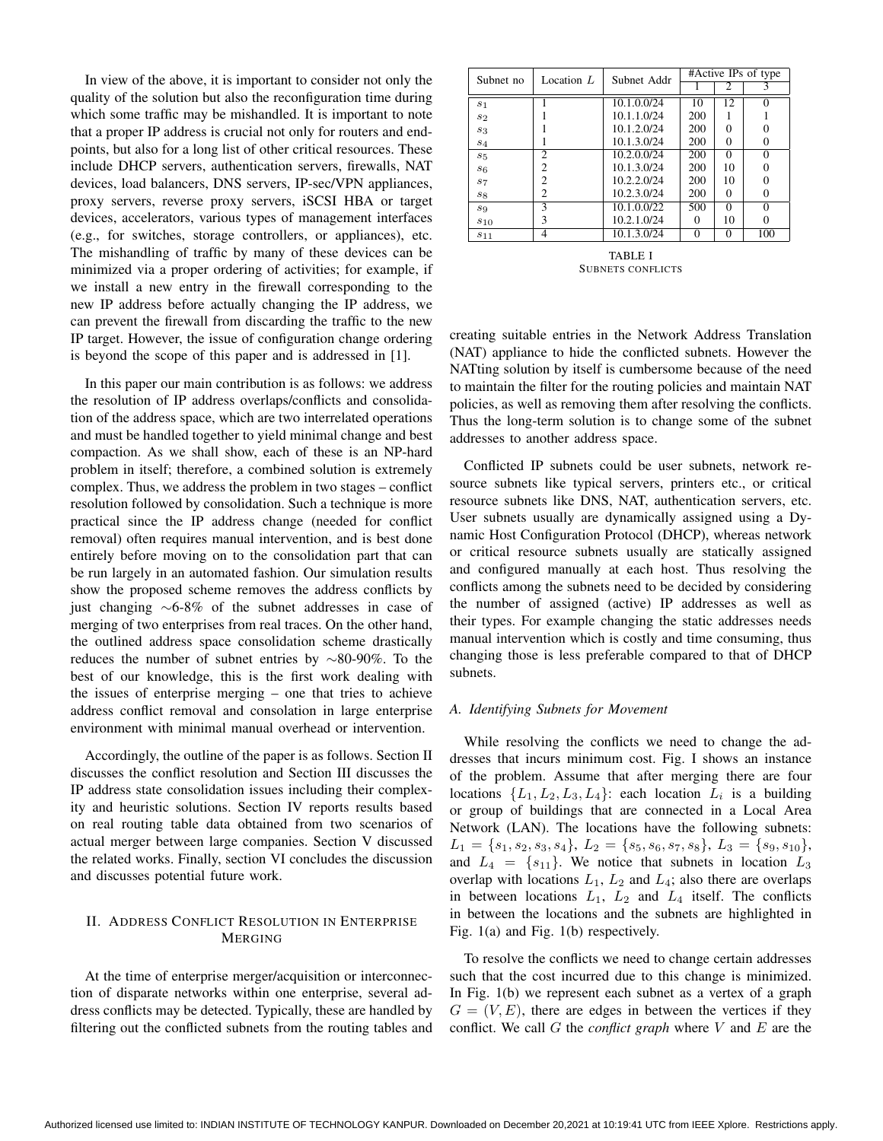In view of the above, it is important to consider not only the quality of the solution but also the reconfiguration time during which some traffic may be mishandled. It is important to note that a proper IP address is crucial not only for routers and endpoints, but also for a long list of other critical resources. These include DHCP servers, authentication servers, firewalls, NAT devices, load balancers, DNS servers, IP-sec/VPN appliances, proxy servers, reverse proxy servers, iSCSI HBA or target devices, accelerators, various types of management interfaces (e.g., for switches, storage controllers, or appliances), etc. The mishandling of traffic by many of these devices can be minimized via a proper ordering of activities; for example, if we install a new entry in the firewall corresponding to the new IP address before actually changing the IP address, we can prevent the firewall from discarding the traffic to the new IP target. However, the issue of configuration change ordering is beyond the scope of this paper and is addressed in [1].

In this paper our main contribution is as follows: we address the resolution of IP address overlaps/conflicts and consolidation of the address space, which are two interrelated operations and must be handled together to yield minimal change and best compaction. As we shall show, each of these is an NP-hard problem in itself; therefore, a combined solution is extremely complex. Thus, we address the problem in two stages – conflict resolution followed by consolidation. Such a technique is more practical since the IP address change (needed for conflict removal) often requires manual intervention, and is best done entirely before moving on to the consolidation part that can be run largely in an automated fashion. Our simulation results show the proposed scheme removes the address conflicts by just changing ∼6-8% of the subnet addresses in case of merging of two enterprises from real traces. On the other hand, the outlined address space consolidation scheme drastically reduces the number of subnet entries by ∼80-90%. To the best of our knowledge, this is the first work dealing with the issues of enterprise merging – one that tries to achieve address conflict removal and consolation in large enterprise environment with minimal manual overhead or intervention.

Accordingly, the outline of the paper is as follows. Section II discusses the conflict resolution and Section III discusses the IP address state consolidation issues including their complexity and heuristic solutions. Section IV reports results based on real routing table data obtained from two scenarios of actual merger between large companies. Section V discussed the related works. Finally, section VI concludes the discussion and discusses potential future work.

# II. ADDRESS CONFLICT RESOLUTION IN ENTERPRISE MERGING

At the time of enterprise merger/acquisition or interconnection of disparate networks within one enterprise, several address conflicts may be detected. Typically, these are handled by filtering out the conflicted subnets from the routing tables and

| Subnet no      | Location $L$   | Subnet Addr | #Active IPs of type |          |                   |
|----------------|----------------|-------------|---------------------|----------|-------------------|
|                |                |             |                     |          |                   |
| s <sub>1</sub> |                | 10.1.0.0/24 | 10                  | 12       | ∩                 |
| $s_2$          |                | 10.1.1.0/24 | 200                 |          |                   |
| $s_3$          |                | 10.1.2.0/24 | 200                 | 0        | 0                 |
| $s_4$          |                | 10.1.3.0/24 | 200                 | $\Omega$ | $\mathbf{\Omega}$ |
| $s_{5}$        | $\overline{c}$ | 10.2.0.0/24 | 200                 | $\Omega$ | 0                 |
| $s_6$          | $\overline{c}$ | 10.1.3.0/24 | 200                 | 10       |                   |
| $s_7$          | $\overline{c}$ | 10.2.2.0/24 | 200                 | 10       | 0                 |
| $s_{8}$        | $\overline{c}$ | 10.2.3.0/24 | 200                 | $\Omega$ | 0                 |
| $s_9$          | 3              | 10.1.0.0/22 | 500                 | $\Omega$ | $\Omega$          |
| $s_{10}$       | 3              | 10.2.1.0/24 | 0                   | 10       | 0                 |
| $s_{11}$       | 4              | 10.1.3.0/24 | $\Omega$            | $\Omega$ | 100               |

TABLE I SUBNETS CONFLICTS

creating suitable entries in the Network Address Translation (NAT) appliance to hide the conflicted subnets. However the NATting solution by itself is cumbersome because of the need to maintain the filter for the routing policies and maintain NAT policies, as well as removing them after resolving the conflicts. Thus the long-term solution is to change some of the subnet addresses to another address space.

Conflicted IP subnets could be user subnets, network resource subnets like typical servers, printers etc., or critical resource subnets like DNS, NAT, authentication servers, etc. User subnets usually are dynamically assigned using a Dynamic Host Configuration Protocol (DHCP), whereas network or critical resource subnets usually are statically assigned and configured manually at each host. Thus resolving the conflicts among the subnets need to be decided by considering the number of assigned (active) IP addresses as well as their types. For example changing the static addresses needs manual intervention which is costly and time consuming, thus changing those is less preferable compared to that of DHCP subnets.

#### *A. Identifying Subnets for Movement*

While resolving the conflicts we need to change the addresses that incurs minimum cost. Fig. I shows an instance of the problem. Assume that after merging there are four locations  $\{L_1, L_2, L_3, L_4\}$ : each location  $L_i$  is a building or group of buildings that are connected in a Local Area Network (LAN). The locations have the following subnets:  $L_1 = \{s_1, s_2, s_3, s_4\}, L_2 = \{s_5, s_6, s_7, s_8\}, L_3 = \{s_9, s_{10}\},$ and  $L_4 = \{s_{11}\}\.$  We notice that subnets in location  $L_3$ overlap with locations  $L_1$ ,  $L_2$  and  $L_4$ ; also there are overlaps in between locations  $L_1$ ,  $L_2$  and  $L_4$  itself. The conflicts in between the locations and the subnets are highlighted in Fig. 1(a) and Fig. 1(b) respectively.

To resolve the conflicts we need to change certain addresses such that the cost incurred due to this change is minimized. In Fig. 1(b) we represent each subnet as a vertex of a graph  $G = (V, E)$ , there are edges in between the vertices if they conflict. We call  $G$  the *conflict graph* where  $V$  and  $E$  are the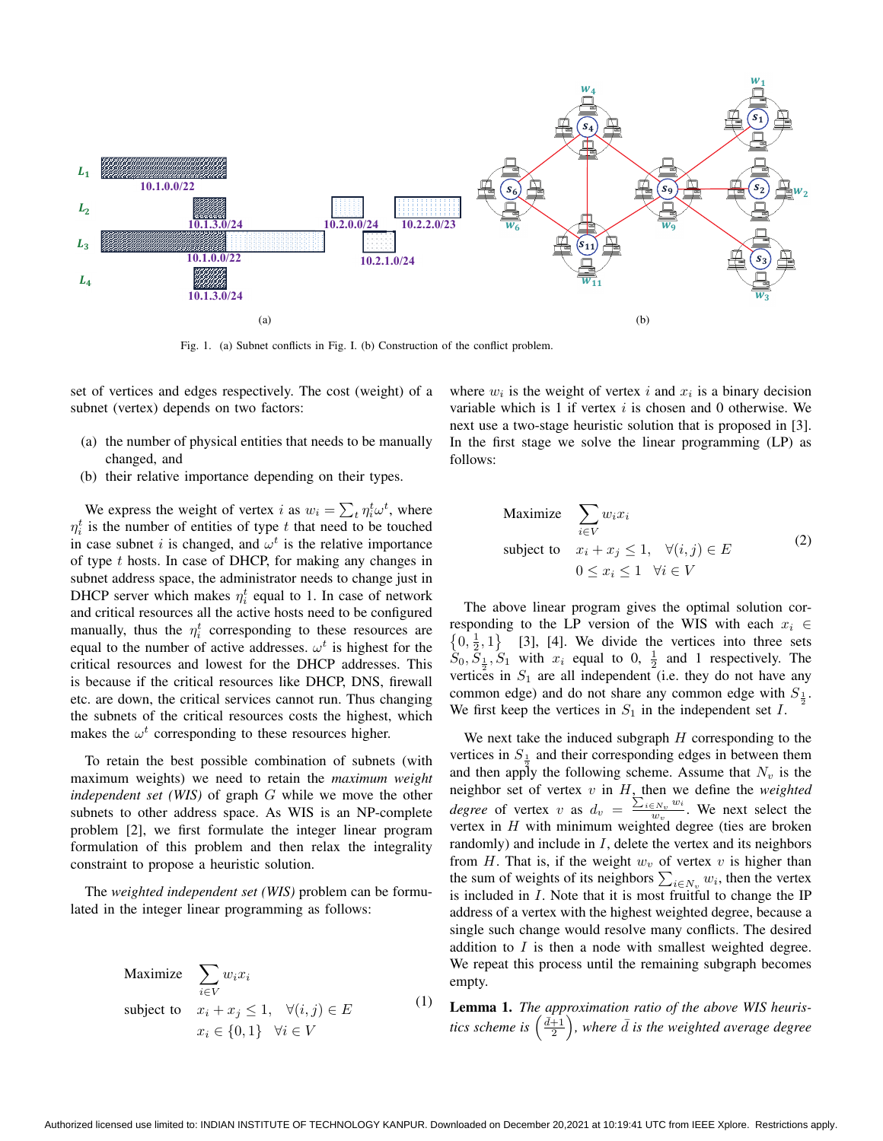

Fig. 1. (a) Subnet conflicts in Fig. I. (b) Construction of the conflict problem.

set of vertices and edges respectively. The cost (weight) of a subnet (vertex) depends on two factors:

- (a) the number of physical entities that needs to be manually changed, and
- (b) their relative importance depending on their types.

We express the weight of vertex *i* as  $w_i = \sum_t \eta_i^t \omega^t$ , where  $\eta_i^t$  is the number of entities of type t that need to be touched in case subnet *i* is changed, and  $\omega^t$  is the relative importance of type  $t$  hosts. In case of DHCP, for making any changes in subnet address space, the administrator needs to change just in DHCP server which makes  $\eta_i^t$  equal to 1. In case of network and critical resources all the active hosts need to be configured manually, thus the  $\eta_i^t$  corresponding to these resources are equal to the number of active addresses.  $\omega^t$  is highest for the critical resources and lowest for the DHCP addresses. This is because if the critical resources like DHCP, DNS, firewall etc. are down, the critical services cannot run. Thus changing the subnets of the critical resources costs the highest, which makes the  $\omega^t$  corresponding to these resources higher.

To retain the best possible combination of subnets (with maximum weights) we need to retain the *maximum weight independent set (WIS)* of graph  $G$  while we move the other subnets to other address space. As WIS is an NP-complete problem [2], we first formulate the integer linear program formulation of this problem and then relax the integrality constraint to propose a heuristic solution.

The *weighted independent set (WIS)* problem can be formulated in the integer linear programming as follows:

Maximize 
$$
\sum_{i \in V} w_i x_i
$$
  
subject to  $x_i + x_j \leq 1, \quad \forall (i, j) \in E$   
 $x_i \in \{0, 1\} \quad \forall i \in V$  (1)

where  $w_i$  is the weight of vertex i and  $x_i$  is a binary decision variable which is 1 if vertex  $i$  is chosen and 0 otherwise. We next use a two-stage heuristic solution that is proposed in [3]. In the first stage we solve the linear programming (LP) as follows:

$$
\begin{array}{ll}\text{Maximize} & \sum_{i \in V} w_i x_i\\ \text{subject to} & x_i + x_j \le 1, \quad \forall (i, j) \in E\\ & 0 \le x_i \le 1 \quad \forall i \in V \end{array} \tag{2}
$$

The above linear program gives the optimal solution corresponding to the LP version of the WIS with each  $x_i \in$  $\{0, \frac{1}{2}, 1\}$  [3], [4]. We divide the vertices into three sets  $\hat{S}_0$ ,  $\overline{S}_\frac{1}{2}$ ,  $\overline{S}_1$  with  $x_i$  equal to 0,  $\frac{1}{2}$  and 1 respectively. The vertices in  $S_1$  are all independent (i.e. they do not have any common edge) and do not share any common edge with  $S_{\frac{1}{2}}$ . We first keep the vertices in  $S_1$  in the independent set  $I$ .

We next take the induced subgraph  $H$  corresponding to the vertices in  $S_{\frac{1}{2}}$  and their corresponding edges in between them and then apply the following scheme. Assume that  $N_v$  is the neighbor set of vertex  $v$  in  $H$ , then we define the *weighted degree* of vertex v as  $d_v = \frac{\sum_{i \in N_v} w_i}{w_v}$ . We next select the vertex in  $H$  with minimum weighted degree (ties are broken randomly) and include in  $I$ , delete the vertex and its neighbors from  $H$ . That is, if the weight  $w<sub>v</sub>$  of vertex  $v$  is higher than the sum of weights of its neighbors  $\sum_{i \in N_v} w_i$ , then the vertex is included in  $I$ . Note that it is most fruitful to change the IP address of a vertex with the highest weighted degree, because a single such change would resolve many conflicts. The desired addition to  $I$  is then a node with smallest weighted degree. We repeat this process until the remaining subgraph becomes empty.

**Lemma 1.** *The approximation ratio of the above WIS heuris*tics scheme is  $\left(\frac{\bar{d}+1}{2}\right)$ , where  $\bar{d}$  is the weighted average degree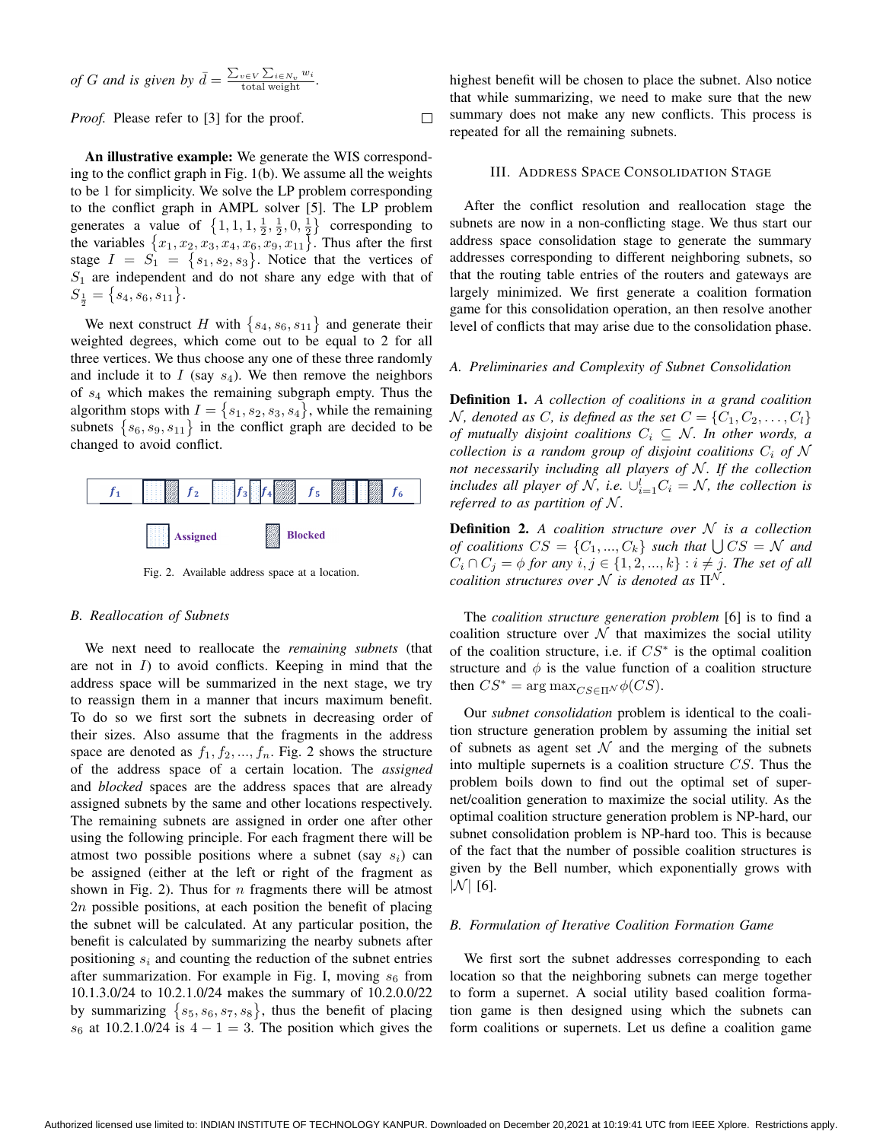of *G* and is given by 
$$
\bar{d} = \frac{\sum_{v \in V} \sum_{i \in N_v} w_i}{\text{total weight}}
$$
.

*Proof.* Please refer to [3] for the proof.

**An illustrative example:** We generate the WIS corresponding to the conflict graph in Fig. 1(b). We assume all the weights to be 1 for simplicity. We solve the LP problem corresponding to the conflict graph in AMPL solver [5]. The LP problem generates a value of  $\{1, 1, 1, \frac{1}{2}, \frac{1}{2}, 0, \frac{1}{2}\}$  corresponding to the variables  $\{x_1, x_2, x_3, x_4, x_6, x_9, x_{11}\}$ . Thus after the first stage  $I = S_1 = \{s_1, s_2, s_3\}$ . Notice that the vertices of  $S_1$  are independent and do not share any edge with that of  $S_{\frac{1}{2}} = \{s_4, s_6, s_{11}\}.$ 

 $\Box$ 

We next construct H with  $\{s_4, s_6, s_{11}\}$  and generate their weighted degrees, which come out to be equal to 2 for all three vertices. We thus choose any one of these three randomly and include it to  $I$  (say  $s_4$ ). We then remove the neighbors of  $s_4$  which makes the remaining subgraph empty. Thus the algorithm stops with  $I = \{s_1, s_2, s_3, s_4\}$ , while the remaining subnets  $\{s_6, s_9, s_{11}\}\$  in the conflict graph are decided to be changed to avoid conflict.



Fig. 2. Available address space at a location.

## *B. Reallocation of Subnets*

We next need to reallocate the *remaining subnets* (that are not in  $I$ ) to avoid conflicts. Keeping in mind that the address space will be summarized in the next stage, we try to reassign them in a manner that incurs maximum benefit. To do so we first sort the subnets in decreasing order of their sizes. Also assume that the fragments in the address space are denoted as  $f_1, f_2, ..., f_n$ . Fig. 2 shows the structure of the address space of a certain location. The *assigned* and *blocked* spaces are the address spaces that are already assigned subnets by the same and other locations respectively. The remaining subnets are assigned in order one after other using the following principle. For each fragment there will be atmost two possible positions where a subnet (say  $s_i$ ) can be assigned (either at the left or right of the fragment as shown in Fig. 2). Thus for  $n$  fragments there will be atmost  $2n$  possible positions, at each position the benefit of placing the subnet will be calculated. At any particular position, the benefit is calculated by summarizing the nearby subnets after positioning  $s_i$  and counting the reduction of the subnet entries after summarization. For example in Fig. I, moving  $s<sub>6</sub>$  from 10.1.3.0/24 to 10.2.1.0/24 makes the summary of 10.2.0.0/22 by summarizing  $\{s_5, s_6, s_7, s_8\}$ , thus the benefit of placing  $s_6$  at 10.2.1.0/24 is  $4 - 1 = 3$ . The position which gives the highest benefit will be chosen to place the subnet. Also notice that while summarizing, we need to make sure that the new summary does not make any new conflicts. This process is repeated for all the remaining subnets.

## III. ADDRESS SPACE CONSOLIDATION STAGE

After the conflict resolution and reallocation stage the subnets are now in a non-conflicting stage. We thus start our address space consolidation stage to generate the summary addresses corresponding to different neighboring subnets, so that the routing table entries of the routers and gateways are largely minimized. We first generate a coalition formation game for this consolidation operation, an then resolve another level of conflicts that may arise due to the consolidation phase.

#### *A. Preliminaries and Complexity of Subnet Consolidation*

**Definition 1.** *A collection of coalitions in a grand coalition N*, denoted as *C*, is defined as the set  $C = \{C_1, C_2, \ldots, C_l\}$ *of mutually disjoint coalitions*  $C_i \subseteq \mathcal{N}$ . In other words, a *collection is a random group of disjoint coalitions*  $C_i$  of  $N$ *not necessarily including all players of*  $N$ . If the collection *includes all player of*  $N$ , *i.e.*  $\cup_{i=1}^{l} C_i = N$ , *the collection is referred to as partition of*  $N$ .

**Definition 2.** *A coalition structure over is a collection of coalitions*  $CS = \{C_1, ..., C_k\}$  *such that*  $\bigcup CS = \mathcal{N}$  *and*  $C_i \cap C_j = \phi$  for any  $i, j \in \{1, 2, ..., k\} : i \neq j$ . The set of all *coalition structures over*  $N$  *is denoted as*  $\Pi^N$ .

The *coalition structure generation problem* [6] is to find a coalition structure over  $N$  that maximizes the social utility of the coalition structure, i.e. if  $CS^*$  is the optimal coalition structure and  $\phi$  is the value function of a coalition structure then  $CS^* = \arg \max_{CS \in \Pi^{\mathcal{N}}} \phi(CS)$ .

Our *subnet consolidation* problem is identical to the coalition structure generation problem by assuming the initial set of subnets as agent set  $\mathcal N$  and the merging of the subnets into multiple supernets is a coalition structure  $CS$ . Thus the problem boils down to find out the optimal set of supernet/coalition generation to maximize the social utility. As the optimal coalition structure generation problem is NP-hard, our subnet consolidation problem is NP-hard too. This is because of the fact that the number of possible coalition structures is given by the Bell number, which exponentially grows with  $|\mathcal{N}|$  [6].

## *B. Formulation of Iterative Coalition Formation Game*

We first sort the subnet addresses corresponding to each location so that the neighboring subnets can merge together to form a supernet. A social utility based coalition formation game is then designed using which the subnets can form coalitions or supernets. Let us define a coalition game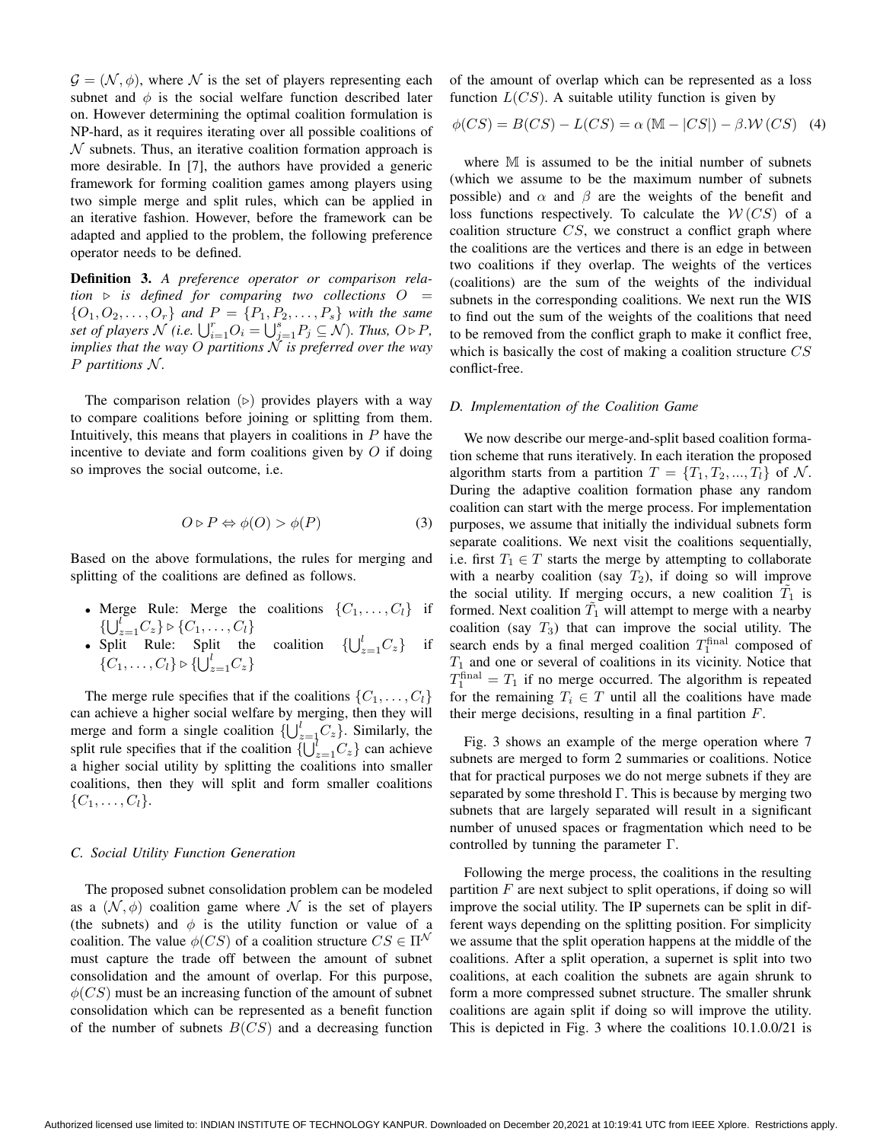$\mathcal{G} = (\mathcal{N}, \phi)$ , where N is the set of players representing each subnet and  $\phi$  is the social welfare function described later on. However determining the optimal coalition formulation is NP-hard, as it requires iterating over all possible coalitions of  $N$  subnets. Thus, an iterative coalition formation approach is more desirable. In [7], the authors have provided a generic framework for forming coalition games among players using two simple merge and split rules, which can be applied in an iterative fashion. However, before the framework can be adapted and applied to the problem, the following preference operator needs to be defined.

**Definition 3.** *A preference operator or comparison rela-* $\mu$  *tion*  $\triangleright$  *is defined for comparing two collections*  $\Omega =$  $\{O_1, O_2, \ldots, O_r\}$  *and*  $P = \{P_1, P_2, \ldots, P_s\}$  *with the same set of players*  $\mathcal{N}$  (*i.e.*  $\bigcup_{i=1}^{r} O_i = \bigcup_{j=1}^{s} P_j \subseteq \mathcal{N}$ ). Thus,  $O \triangleright P$ , *implies that the way* O partitions  $\tilde{N}$  is preferred over the way  *partitions*  $\mathcal{N}$ *.* 

The comparison relation  $(\triangleright)$  provides players with a way to compare coalitions before joining or splitting from them. Intuitively, this means that players in coalitions in  $P$  have the incentive to deviate and form coalitions given by  $O$  if doing so improves the social outcome, i.e.

$$
O \triangleright P \Leftrightarrow \phi(O) > \phi(P) \tag{3}
$$

Based on the above formulations, the rules for merging and splitting of the coalitions are defined as follows.

- Merge Rule: Merge the coalitions  $\{C_1, \ldots, C_l\}$  if  $\{\bigcup_{z=1}^{l} C_{z}\} \triangleright \{C_{1}, \ldots, C_{l}\}$
- Split Rule: Split the coalition  $\{U_{z=1}^{l}C_{z}\}\$  if  $\{C_1, \ldots, C_l\} \triangleright \{\bigcup_{z=1}^l C_z\}$

The merge rule specifies that if the coalitions  $\{C_1, \ldots, C_l\}$ can achieve a higher social welfare by merging, then they will merge and form a single coalition  $\{ \bigcup_{z=1}^{l} C_{z} \}$ . Similarly, the split rule specifies that if the coalition  $\{ \bigcup_{z=1}^{l} C_{z} \}$  can achieve a higher social utility by splitting the coalitions into smaller coalitions, then they will split and form smaller coalitions  $\{C_1,\ldots,C_l\}.$ 

## *C. Social Utility Function Generation*

The proposed subnet consolidation problem can be modeled as a  $(N, \phi)$  coalition game where N is the set of players (the subnets) and  $\phi$  is the utility function or value of a coalition. The value  $\phi(CS)$  of a coalition structure  $CS \in \Pi^{\mathcal{N}}$ must capture the trade off between the amount of subnet consolidation and the amount of overlap. For this purpose,  $\phi(CS)$  must be an increasing function of the amount of subnet consolidation which can be represented as a benefit function of the number of subnets  $B(CS)$  and a decreasing function

of the amount of overlap which can be represented as a loss function  $L(CS)$ . A suitable utility function is given by

$$
\phi(CS) = B(CS) - L(CS) = \alpha \left( \mathbb{M} - |CS| \right) - \beta \mathcal{W}(CS)
$$
 (4)

where  $M$  is assumed to be the initial number of subnets (which we assume to be the maximum number of subnets possible) and  $\alpha$  and  $\beta$  are the weights of the benefit and loss functions respectively. To calculate the  $W(CS)$  of a coalition structure  $CS$ , we construct a conflict graph where the coalitions are the vertices and there is an edge in between two coalitions if they overlap. The weights of the vertices (coalitions) are the sum of the weights of the individual subnets in the corresponding coalitions. We next run the WIS to find out the sum of the weights of the coalitions that need to be removed from the conflict graph to make it conflict free, which is basically the cost of making a coalition structure  $CS$ conflict-free.

#### *D. Implementation of the Coalition Game*

We now describe our merge-and-split based coalition formation scheme that runs iteratively. In each iteration the proposed algorithm starts from a partition  $T = \{T_1, T_2, ..., T_l\}$  of N. During the adaptive coalition formation phase any random coalition can start with the merge process. For implementation purposes, we assume that initially the individual subnets form separate coalitions. We next visit the coalitions sequentially, i.e. first  $T_1 \in T$  starts the merge by attempting to collaborate with a nearby coalition (say  $T_2$ ), if doing so will improve the social utility. If merging occurs, a new coalition  $\tilde{T}_1$  is formed. Next coalition  $\tilde{T}_1$  will attempt to merge with a nearby coalition (say  $T_3$ ) that can improve the social utility. The search ends by a final merged coalition  $T_1^{\text{final}}$  composed of  $T_1$  and one or several of coalitions in its vicinity. Notice that  $T_1^{\text{final}} = T_1$  if no merge occurred. The algorithm is repeated for the remaining  $T_i \in T$  until all the coalitions have made their merge decisions, resulting in a final partition  $F$ .

Fig. 3 shows an example of the merge operation where 7 subnets are merged to form 2 summaries or coalitions. Notice that for practical purposes we do not merge subnets if they are separated by some threshold Γ. This is because by merging two subnets that are largely separated will result in a significant number of unused spaces or fragmentation which need to be controlled by tunning the parameter Γ.

Following the merge process, the coalitions in the resulting partition  $F$  are next subject to split operations, if doing so will improve the social utility. The IP supernets can be split in different ways depending on the splitting position. For simplicity we assume that the split operation happens at the middle of the coalitions. After a split operation, a supernet is split into two coalitions, at each coalition the subnets are again shrunk to form a more compressed subnet structure. The smaller shrunk coalitions are again split if doing so will improve the utility. This is depicted in Fig. 3 where the coalitions 10.1.0.0/21 is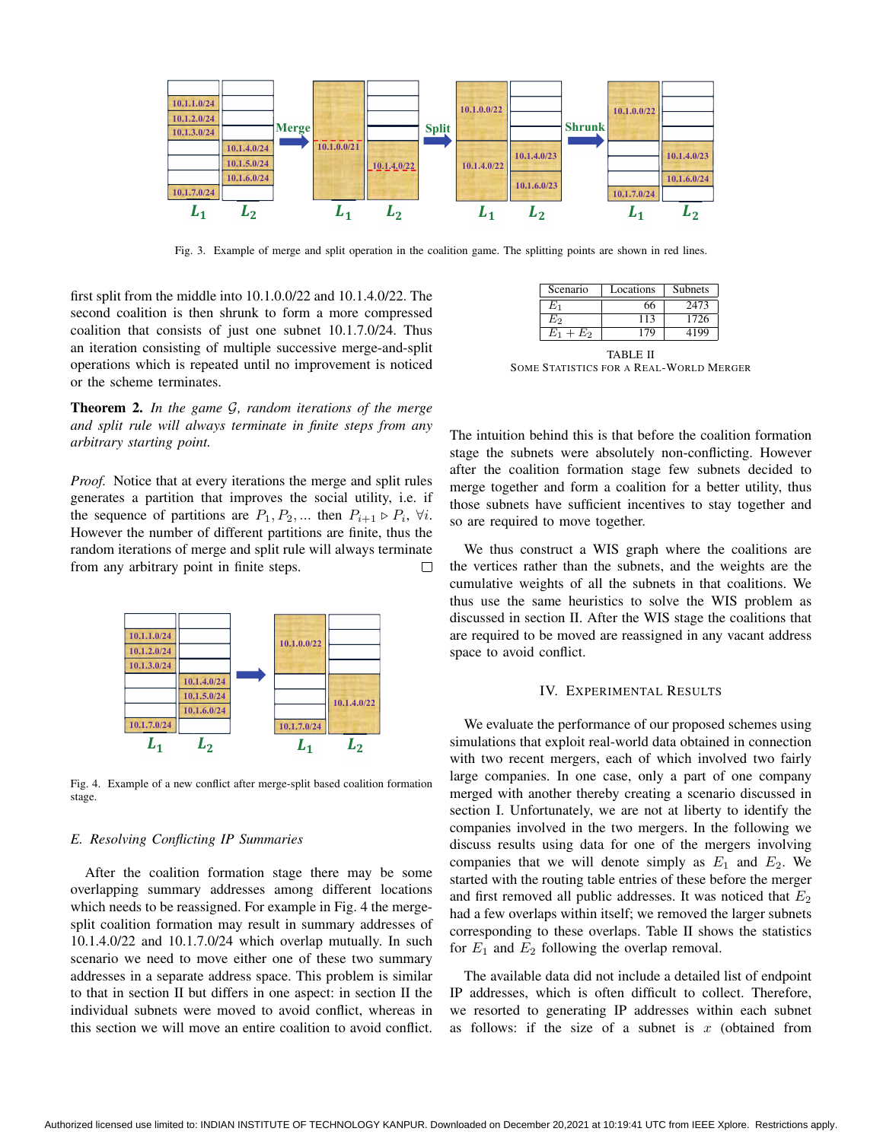

Fig. 3. Example of merge and split operation in the coalition game. The splitting points are shown in red lines.

first split from the middle into 10.1.0.0/22 and 10.1.4.0/22. The second coalition is then shrunk to form a more compressed coalition that consists of just one subnet 10.1.7.0/24. Thus an iteration consisting of multiple successive merge-and-split operations which is repeated until no improvement is noticed or the scheme terminates.

**Theorem 2.** In the game G, random iterations of the merge *and split rule will always terminate in finite steps from any arbitrary starting point.*

*Proof.* Notice that at every iterations the merge and split rules generates a partition that improves the social utility, i.e. if the sequence of partitions are  $P_1, P_2, \dots$  then  $P_{i+1} \triangleright P_i$ ,  $\forall i$ . However the number of different partitions are finite, thus the random iterations of merge and split rule will always terminate from any arbitrary point in finite steps.  $\Box$ 



Fig. 4. Example of a new conflict after merge-split based coalition formation stage.

## *E. Resolving Conflicting IP Summaries*

After the coalition formation stage there may be some overlapping summary addresses among different locations which needs to be reassigned. For example in Fig. 4 the mergesplit coalition formation may result in summary addresses of 10.1.4.0/22 and 10.1.7.0/24 which overlap mutually. In such scenario we need to move either one of these two summary addresses in a separate address space. This problem is similar to that in section II but differs in one aspect: in section II the individual subnets were moved to avoid conflict, whereas in this section we will move an entire coalition to avoid conflict.

| Scenario    | Locations | <b>Subnets</b> |
|-------------|-----------|----------------|
| E1          | 66        | 2473           |
| Eэ          | 113       | 1726           |
| $E_1 + E_2$ | 170       |                |
|             |           |                |

TABLE II SOME STATISTICS FOR A REAL-WORLD MERGER

The intuition behind this is that before the coalition formation stage the subnets were absolutely non-conflicting. However after the coalition formation stage few subnets decided to merge together and form a coalition for a better utility, thus those subnets have sufficient incentives to stay together and so are required to move together.

We thus construct a WIS graph where the coalitions are the vertices rather than the subnets, and the weights are the cumulative weights of all the subnets in that coalitions. We thus use the same heuristics to solve the WIS problem as discussed in section II. After the WIS stage the coalitions that are required to be moved are reassigned in any vacant address space to avoid conflict.

## IV. EXPERIMENTAL RESULTS

We evaluate the performance of our proposed schemes using simulations that exploit real-world data obtained in connection with two recent mergers, each of which involved two fairly large companies. In one case, only a part of one company merged with another thereby creating a scenario discussed in section I. Unfortunately, we are not at liberty to identify the companies involved in the two mergers. In the following we discuss results using data for one of the mergers involving companies that we will denote simply as  $E_1$  and  $E_2$ . We started with the routing table entries of these before the merger and first removed all public addresses. It was noticed that  $E_2$ had a few overlaps within itself; we removed the larger subnets corresponding to these overlaps. Table II shows the statistics for  $E_1$  and  $E_2$  following the overlap removal.

The available data did not include a detailed list of endpoint IP addresses, which is often difficult to collect. Therefore, we resorted to generating IP addresses within each subnet as follows: if the size of a subnet is  $x$  (obtained from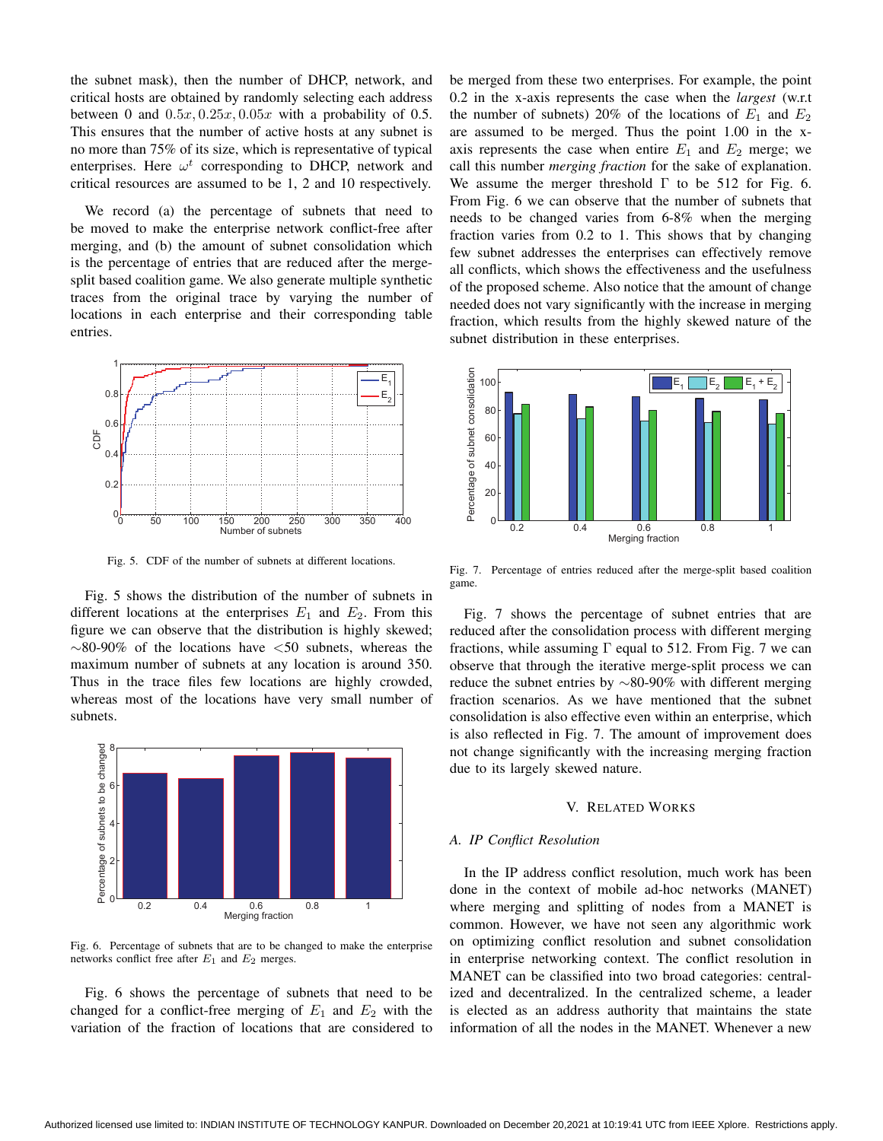the subnet mask), then the number of DHCP, network, and critical hosts are obtained by randomly selecting each address between 0 and  $0.5x, 0.25x, 0.05x$  with a probability of 0.5. This ensures that the number of active hosts at any subnet is no more than 75% of its size, which is representative of typical enterprises. Here  $\omega^t$  corresponding to DHCP, network and critical resources are assumed to be 1, 2 and 10 respectively.

We record (a) the percentage of subnets that need to be moved to make the enterprise network conflict-free after merging, and (b) the amount of subnet consolidation which is the percentage of entries that are reduced after the mergesplit based coalition game. We also generate multiple synthetic traces from the original trace by varying the number of locations in each enterprise and their corresponding table entries.



Fig. 5. CDF of the number of subnets at different locations.

Fig. 5 shows the distribution of the number of subnets in different locations at the enterprises  $E_1$  and  $E_2$ . From this figure we can observe that the distribution is highly skewed;  $~\sim$ 80-90% of the locations have  $~<$ 50 subnets, whereas the maximum number of subnets at any location is around 350. Thus in the trace files few locations are highly crowded, whereas most of the locations have very small number of subnets.



Fig. 6. Percentage of subnets that are to be changed to make the enterprise networks conflict free after  $E_1$  and  $E_2$  merges.

Fig. 6 shows the percentage of subnets that need to be changed for a conflict-free merging of  $E_1$  and  $E_2$  with the variation of the fraction of locations that are considered to be merged from these two enterprises. For example, the point 0.2 in the x-axis represents the case when the *largest* (w.r.t the number of subnets) 20% of the locations of  $E_1$  and  $E_2$ are assumed to be merged. Thus the point 1.00 in the xaxis represents the case when entire  $E_1$  and  $E_2$  merge; we call this number *merging fraction* for the sake of explanation. We assume the merger threshold  $\Gamma$  to be 512 for Fig. 6. From Fig. 6 we can observe that the number of subnets that needs to be changed varies from 6-8% when the merging fraction varies from 0.2 to 1. This shows that by changing few subnet addresses the enterprises can effectively remove all conflicts, which shows the effectiveness and the usefulness of the proposed scheme. Also notice that the amount of change needed does not vary significantly with the increase in merging fraction, which results from the highly skewed nature of the subnet distribution in these enterprises.



Fig. 7. Percentage of entries reduced after the merge-split based coalition game.

Fig. 7 shows the percentage of subnet entries that are reduced after the consolidation process with different merging fractions, while assuming  $\Gamma$  equal to 512. From Fig. 7 we can observe that through the iterative merge-split process we can reduce the subnet entries by ∼80-90% with different merging fraction scenarios. As we have mentioned that the subnet consolidation is also effective even within an enterprise, which is also reflected in Fig. 7. The amount of improvement does not change significantly with the increasing merging fraction due to its largely skewed nature.

## V. RELATED WORKS

## *A. IP Conflict Resolution*

In the IP address conflict resolution, much work has been done in the context of mobile ad-hoc networks (MANET) where merging and splitting of nodes from a MANET is common. However, we have not seen any algorithmic work on optimizing conflict resolution and subnet consolidation in enterprise networking context. The conflict resolution in MANET can be classified into two broad categories: centralized and decentralized. In the centralized scheme, a leader is elected as an address authority that maintains the state information of all the nodes in the MANET. Whenever a new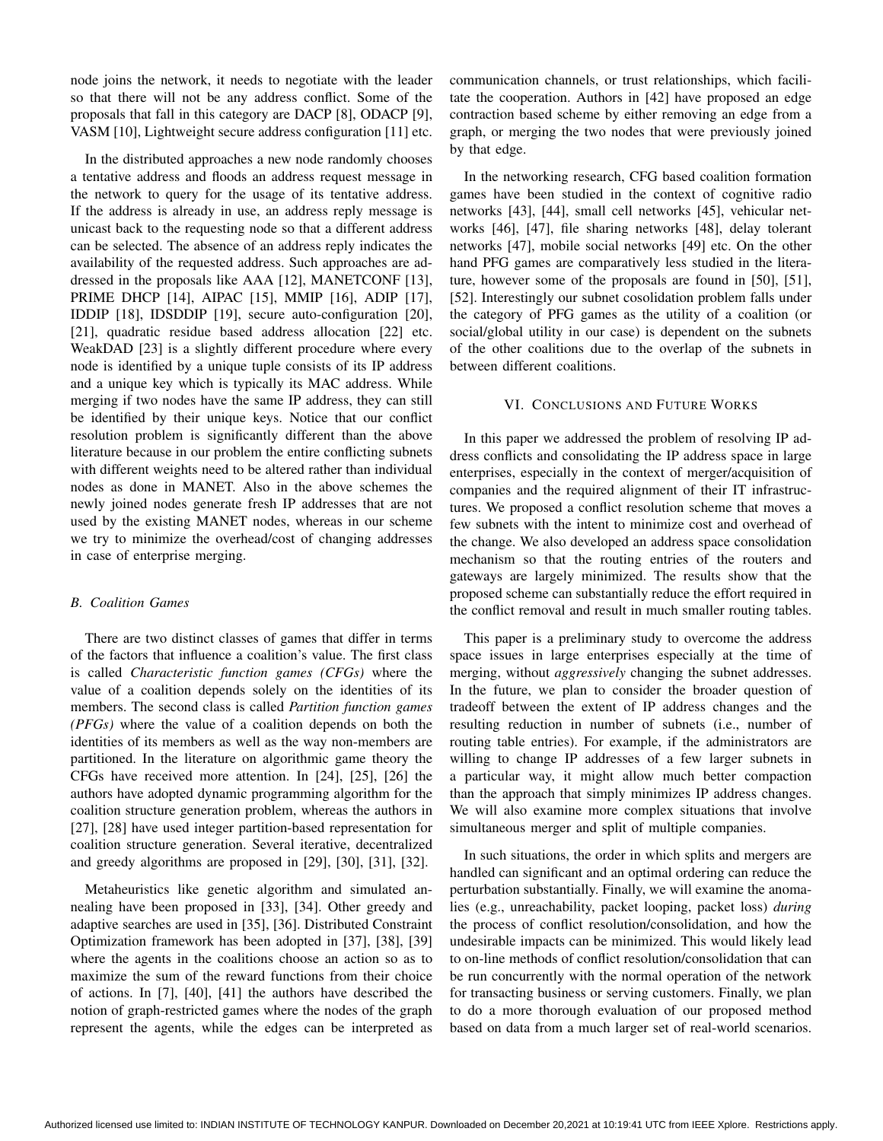node joins the network, it needs to negotiate with the leader so that there will not be any address conflict. Some of the proposals that fall in this category are DACP [8], ODACP [9], VASM [10], Lightweight secure address configuration [11] etc.

In the distributed approaches a new node randomly chooses a tentative address and floods an address request message in the network to query for the usage of its tentative address. If the address is already in use, an address reply message is unicast back to the requesting node so that a different address can be selected. The absence of an address reply indicates the availability of the requested address. Such approaches are addressed in the proposals like AAA [12], MANETCONF [13], PRIME DHCP [14], AIPAC [15], MMIP [16], ADIP [17], IDDIP [18], IDSDDIP [19], secure auto-configuration [20], [21], quadratic residue based address allocation [22] etc. WeakDAD [23] is a slightly different procedure where every node is identified by a unique tuple consists of its IP address and a unique key which is typically its MAC address. While merging if two nodes have the same IP address, they can still be identified by their unique keys. Notice that our conflict resolution problem is significantly different than the above literature because in our problem the entire conflicting subnets with different weights need to be altered rather than individual nodes as done in MANET. Also in the above schemes the newly joined nodes generate fresh IP addresses that are not used by the existing MANET nodes, whereas in our scheme we try to minimize the overhead/cost of changing addresses in case of enterprise merging.

## *B. Coalition Games*

There are two distinct classes of games that differ in terms of the factors that influence a coalition's value. The first class is called *Characteristic function games (CFGs)* where the value of a coalition depends solely on the identities of its members. The second class is called *Partition function games (PFGs)* where the value of a coalition depends on both the identities of its members as well as the way non-members are partitioned. In the literature on algorithmic game theory the CFGs have received more attention. In [24], [25], [26] the authors have adopted dynamic programming algorithm for the coalition structure generation problem, whereas the authors in [27], [28] have used integer partition-based representation for coalition structure generation. Several iterative, decentralized and greedy algorithms are proposed in [29], [30], [31], [32].

Metaheuristics like genetic algorithm and simulated annealing have been proposed in [33], [34]. Other greedy and adaptive searches are used in [35], [36]. Distributed Constraint Optimization framework has been adopted in [37], [38], [39] where the agents in the coalitions choose an action so as to maximize the sum of the reward functions from their choice of actions. In [7], [40], [41] the authors have described the notion of graph-restricted games where the nodes of the graph represent the agents, while the edges can be interpreted as communication channels, or trust relationships, which facilitate the cooperation. Authors in [42] have proposed an edge contraction based scheme by either removing an edge from a graph, or merging the two nodes that were previously joined by that edge.

In the networking research, CFG based coalition formation games have been studied in the context of cognitive radio networks [43], [44], small cell networks [45], vehicular networks [46], [47], file sharing networks [48], delay tolerant networks [47], mobile social networks [49] etc. On the other hand PFG games are comparatively less studied in the literature, however some of the proposals are found in [50], [51], [52]. Interestingly our subnet cosolidation problem falls under the category of PFG games as the utility of a coalition (or social/global utility in our case) is dependent on the subnets of the other coalitions due to the overlap of the subnets in between different coalitions.

## VI. CONCLUSIONS AND FUTURE WORKS

In this paper we addressed the problem of resolving IP address conflicts and consolidating the IP address space in large enterprises, especially in the context of merger/acquisition of companies and the required alignment of their IT infrastructures. We proposed a conflict resolution scheme that moves a few subnets with the intent to minimize cost and overhead of the change. We also developed an address space consolidation mechanism so that the routing entries of the routers and gateways are largely minimized. The results show that the proposed scheme can substantially reduce the effort required in the conflict removal and result in much smaller routing tables.

This paper is a preliminary study to overcome the address space issues in large enterprises especially at the time of merging, without *aggressively* changing the subnet addresses. In the future, we plan to consider the broader question of tradeoff between the extent of IP address changes and the resulting reduction in number of subnets (i.e., number of routing table entries). For example, if the administrators are willing to change IP addresses of a few larger subnets in a particular way, it might allow much better compaction than the approach that simply minimizes IP address changes. We will also examine more complex situations that involve simultaneous merger and split of multiple companies.

In such situations, the order in which splits and mergers are handled can significant and an optimal ordering can reduce the perturbation substantially. Finally, we will examine the anomalies (e.g., unreachability, packet looping, packet loss) *during* the process of conflict resolution/consolidation, and how the undesirable impacts can be minimized. This would likely lead to on-line methods of conflict resolution/consolidation that can be run concurrently with the normal operation of the network for transacting business or serving customers. Finally, we plan to do a more thorough evaluation of our proposed method based on data from a much larger set of real-world scenarios.